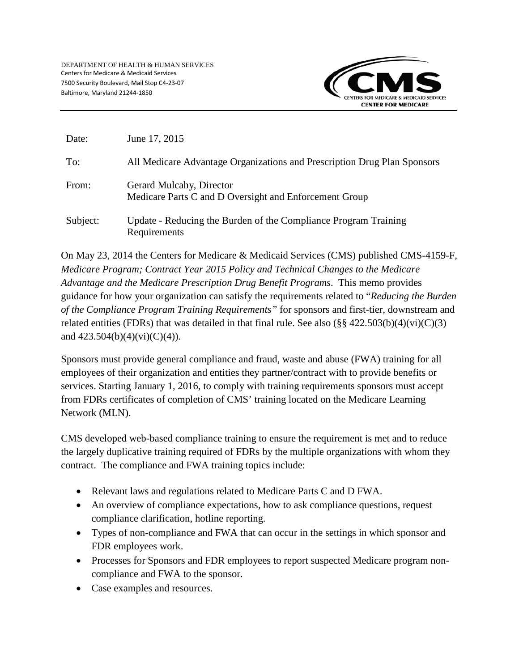

| Date:    | June 17, 2015                                                                      |
|----------|------------------------------------------------------------------------------------|
| To:      | All Medicare Advantage Organizations and Prescription Drug Plan Sponsors           |
| From:    | Gerard Mulcahy, Director<br>Medicare Parts C and D Oversight and Enforcement Group |
| Subject: | Update - Reducing the Burden of the Compliance Program Training<br>Requirements    |

On May 23, 2014 the Centers for Medicare & Medicaid Services (CMS) published CMS-4159-F, *Medicare Program; Contract Year 2015 Policy and Technical Changes to the Medicare Advantage and the Medicare Prescription Drug Benefit Programs*. This memo provides guidance for how your organization can satisfy the requirements related to "*Reducing the Burden of the Compliance Program Training Requirements"* for sponsors and first-tier, downstream and related entities (FDRs) that was detailed in that final rule. See also  $(\frac{8}{8} \times 422.503(b)(4)(vi)(C)(3)$ and  $423.504(b)(4)(vi)(C)(4)$ ).

Sponsors must provide general compliance and fraud, waste and abuse (FWA) training for all employees of their organization and entities they partner/contract with to provide benefits or services. Starting January 1, 2016, to comply with training requirements sponsors must accept from FDRs certificates of completion of CMS' training located on the Medicare Learning Network (MLN).

CMS developed web-based compliance training to ensure the requirement is met and to reduce the largely duplicative training required of FDRs by the multiple organizations with whom they contract. The compliance and FWA training topics include:

- Relevant laws and regulations related to Medicare Parts C and D FWA.
- An overview of compliance expectations, how to ask compliance questions, request compliance clarification, hotline reporting.
- Types of non-compliance and FWA that can occur in the settings in which sponsor and FDR employees work.
- Processes for Sponsors and FDR employees to report suspected Medicare program noncompliance and FWA to the sponsor.
- Case examples and resources.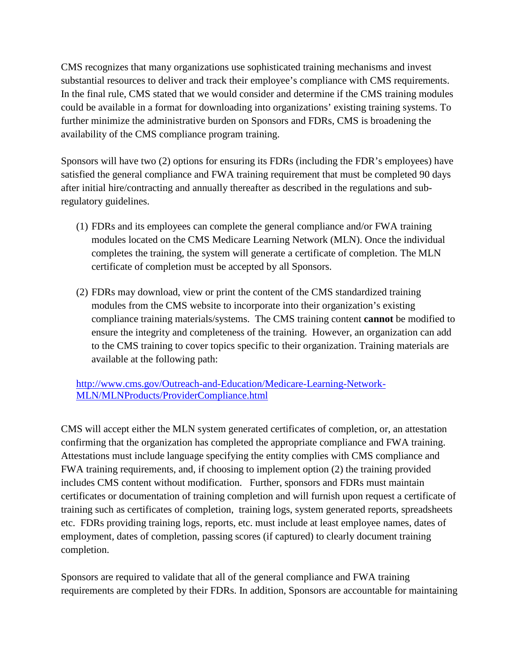CMS recognizes that many organizations use sophisticated training mechanisms and invest substantial resources to deliver and track their employee's compliance with CMS requirements. In the final rule, CMS stated that we would consider and determine if the CMS training modules could be available in a format for downloading into organizations' existing training systems. To further minimize the administrative burden on Sponsors and FDRs, CMS is broadening the availability of the CMS compliance program training.

Sponsors will have two (2) options for ensuring its FDRs (including the FDR's employees) have satisfied the general compliance and FWA training requirement that must be completed 90 days after initial hire/contracting and annually thereafter as described in the regulations and subregulatory guidelines.

- (1) FDRs and its employees can complete the general compliance and/or FWA training modules located on the CMS Medicare Learning Network (MLN). Once the individual completes the training, the system will generate a certificate of completion. The MLN certificate of completion must be accepted by all Sponsors.
- (2) FDRs may download, view or print the content of the CMS standardized training modules from the CMS website to incorporate into their organization's existing compliance training materials/systems. The CMS training content **cannot** be modified to ensure the integrity and completeness of the training. However, an organization can add to the CMS training to cover topics specific to their organization. Training materials are available at the following path:

[http://www.cms.gov/Outreach-and-Education/Medicare-Learning-Network-](http://www.cms.gov/Outreach-and-Education/Medicare-Learning-Network-MLN/MLNProducts/ProviderCompliance.html)[MLN/MLNProducts/ProviderCompliance.html](http://www.cms.gov/Outreach-and-Education/Medicare-Learning-Network-MLN/MLNProducts/ProviderCompliance.html)

CMS will accept either the MLN system generated certificates of completion, or, an attestation confirming that the organization has completed the appropriate compliance and FWA training. Attestations must include language specifying the entity complies with CMS compliance and FWA training requirements, and, if choosing to implement option (2) the training provided includes CMS content without modification. Further, sponsors and FDRs must maintain certificates or documentation of training completion and will furnish upon request a certificate of training such as certificates of completion, training logs, system generated reports, spreadsheets etc. FDRs providing training logs, reports, etc. must include at least employee names, dates of employment, dates of completion, passing scores (if captured) to clearly document training completion.

Sponsors are required to validate that all of the general compliance and FWA training requirements are completed by their FDRs. In addition, Sponsors are accountable for maintaining